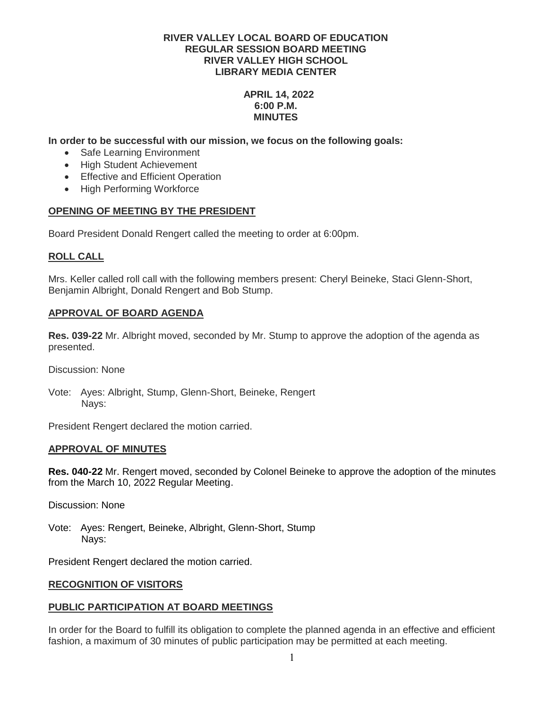# **APRIL 14, 2022 6:00 P.M. MINUTES**

**In order to be successful with our mission, we focus on the following goals:**

- Safe Learning Environment
- High Student Achievement
- Effective and Efficient Operation
- High Performing Workforce

# **OPENING OF MEETING BY THE PRESIDENT**

Board President Donald Rengert called the meeting to order at 6:00pm.

# **ROLL CALL**

Mrs. Keller called roll call with the following members present: Cheryl Beineke, Staci Glenn-Short, Benjamin Albright, Donald Rengert and Bob Stump.

# **APPROVAL OF BOARD AGENDA**

**Res. 039-22** Mr. Albright moved, seconded by Mr. Stump to approve the adoption of the agenda as presented.

Discussion: None

Vote: Ayes: Albright, Stump, Glenn-Short, Beineke, Rengert Nays:

President Rengert declared the motion carried.

### **APPROVAL OF MINUTES**

**Res. 040-22** Mr. Rengert moved, seconded by Colonel Beineke to approve the adoption of the minutes from the March 10, 2022 Regular Meeting.

Discussion: None

Vote: Ayes: Rengert, Beineke, Albright, Glenn-Short, Stump Nays:

President Rengert declared the motion carried.

### **RECOGNITION OF VISITORS**

### **PUBLIC PARTICIPATION AT BOARD MEETINGS**

In order for the Board to fulfill its obligation to complete the planned agenda in an effective and efficient fashion, a maximum of 30 minutes of public participation may be permitted at each meeting.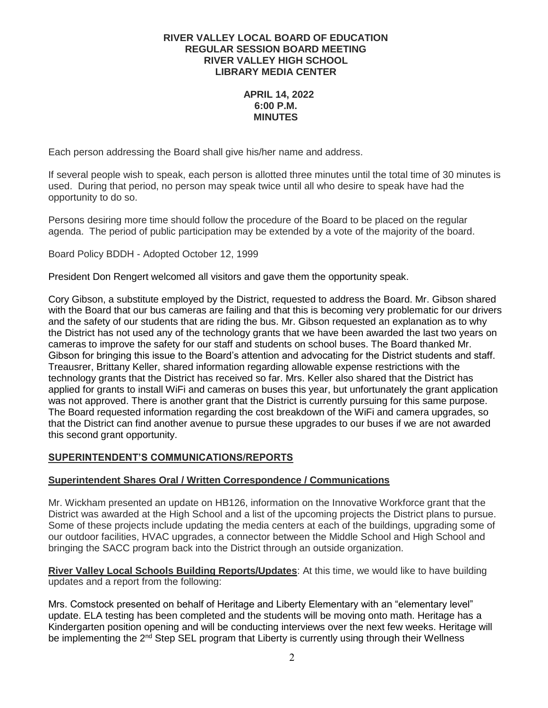## **APRIL 14, 2022 6:00 P.M. MINUTES**

Each person addressing the Board shall give his/her name and address.

If several people wish to speak, each person is allotted three minutes until the total time of 30 minutes is used. During that period, no person may speak twice until all who desire to speak have had the opportunity to do so.

Persons desiring more time should follow the procedure of the Board to be placed on the regular agenda. The period of public participation may be extended by a vote of the majority of the board.

Board Policy BDDH - Adopted October 12, 1999

President Don Rengert welcomed all visitors and gave them the opportunity speak.

Cory Gibson, a substitute employed by the District, requested to address the Board. Mr. Gibson shared with the Board that our bus cameras are failing and that this is becoming very problematic for our drivers and the safety of our students that are riding the bus. Mr. Gibson requested an explanation as to why the District has not used any of the technology grants that we have been awarded the last two years on cameras to improve the safety for our staff and students on school buses. The Board thanked Mr. Gibson for bringing this issue to the Board's attention and advocating for the District students and staff. Treausrer, Brittany Keller, shared information regarding allowable expense restrictions with the technology grants that the District has received so far. Mrs. Keller also shared that the District has applied for grants to install WiFi and cameras on buses this year, but unfortunately the grant application was not approved. There is another grant that the District is currently pursuing for this same purpose. The Board requested information regarding the cost breakdown of the WiFi and camera upgrades, so that the District can find another avenue to pursue these upgrades to our buses if we are not awarded this second grant opportunity.

# **SUPERINTENDENT'S COMMUNICATIONS/REPORTS**

### **Superintendent Shares Oral / Written Correspondence / Communications**

Mr. Wickham presented an update on HB126, information on the Innovative Workforce grant that the District was awarded at the High School and a list of the upcoming projects the District plans to pursue. Some of these projects include updating the media centers at each of the buildings, upgrading some of our outdoor facilities, HVAC upgrades, a connector between the Middle School and High School and bringing the SACC program back into the District through an outside organization.

# **River Valley Local Schools Building Reports/Updates**: At this time, we would like to have building updates and a report from the following:

Mrs. Comstock presented on behalf of Heritage and Liberty Elementary with an "elementary level" update. ELA testing has been completed and the students will be moving onto math. Heritage has a Kindergarten position opening and will be conducting interviews over the next few weeks. Heritage will be implementing the  $2<sup>nd</sup>$  Step SEL program that Liberty is currently using through their Wellness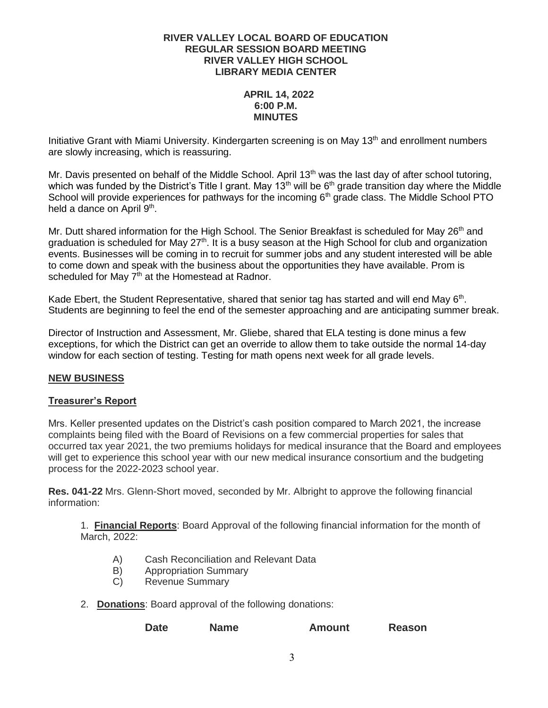# **APRIL 14, 2022 6:00 P.M. MINUTES**

Initiative Grant with Miami University. Kindergarten screening is on May  $13<sup>th</sup>$  and enrollment numbers are slowly increasing, which is reassuring.

Mr. Davis presented on behalf of the Middle School. April 13<sup>th</sup> was the last day of after school tutoring, which was funded by the District's Title I grant. May 13<sup>th</sup> will be  $6<sup>th</sup>$  grade transition day where the Middle School will provide experiences for pathways for the incoming 6<sup>th</sup> grade class. The Middle School PTO held a dance on April 9<sup>th</sup>.

Mr. Dutt shared information for the High School. The Senior Breakfast is scheduled for May 26<sup>th</sup> and graduation is scheduled for May  $27<sup>th</sup>$ . It is a busy season at the High School for club and organization events. Businesses will be coming in to recruit for summer jobs and any student interested will be able to come down and speak with the business about the opportunities they have available. Prom is scheduled for May  $7<sup>th</sup>$  at the Homestead at Radnor.

Kade Ebert, the Student Representative, shared that senior tag has started and will end May 6<sup>th</sup>. Students are beginning to feel the end of the semester approaching and are anticipating summer break.

Director of Instruction and Assessment, Mr. Gliebe, shared that ELA testing is done minus a few exceptions, for which the District can get an override to allow them to take outside the normal 14-day window for each section of testing. Testing for math opens next week for all grade levels.

# **NEW BUSINESS**

# **Treasurer's Report**

Mrs. Keller presented updates on the District's cash position compared to March 2021, the increase complaints being filed with the Board of Revisions on a few commercial properties for sales that occurred tax year 2021, the two premiums holidays for medical insurance that the Board and employees will get to experience this school year with our new medical insurance consortium and the budgeting process for the 2022-2023 school year.

**Res. 041-22** Mrs. Glenn-Short moved, seconded by Mr. Albright to approve the following financial information:

1. **Financial Reports**: Board Approval of the following financial information for the month of March, 2022:

- A) Cash Reconciliation and Relevant Data
- B) Appropriation Summary
- C) Revenue Summary
- 2. **Donations**: Board approval of the following donations:

**Date Name Amount Reason**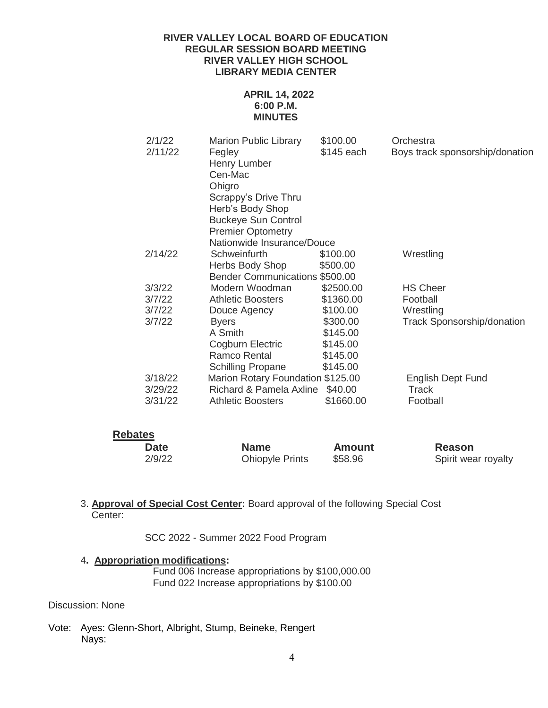# **APRIL 14, 2022 6:00 P.M. MINUTES**

| 2/1/22<br>2/11/22              | <b>Marion Public Library</b><br>Fegley | \$100.00<br>\$145 each | Orchestra<br>Boys track sponsorship/donation |  |  |
|--------------------------------|----------------------------------------|------------------------|----------------------------------------------|--|--|
|                                | Henry Lumber                           |                        |                                              |  |  |
|                                | Cen-Mac                                |                        |                                              |  |  |
|                                | Ohigro                                 |                        |                                              |  |  |
|                                | Scrappy's Drive Thru                   |                        |                                              |  |  |
|                                | Herb's Body Shop                       |                        |                                              |  |  |
|                                | <b>Buckeye Sun Control</b>             |                        |                                              |  |  |
|                                | <b>Premier Optometry</b>               |                        |                                              |  |  |
|                                | Nationwide Insurance/Douce             |                        |                                              |  |  |
| 2/14/22                        | Schweinfurth                           | \$100.00               | Wrestling                                    |  |  |
|                                | Herbs Body Shop                        | \$500.00               |                                              |  |  |
| Bender Communications \$500.00 |                                        |                        |                                              |  |  |
| 3/3/22                         | Modern Woodman                         | \$2500.00              | <b>HS Cheer</b>                              |  |  |
| 3/7/22                         | <b>Athletic Boosters</b>               | \$1360.00              | Football                                     |  |  |
| 3/7/22                         | Douce Agency                           | \$100.00               | Wrestling                                    |  |  |
| 3/7/22                         | <b>Byers</b>                           | \$300.00               | <b>Track Sponsorship/donation</b>            |  |  |
|                                | A Smith                                | \$145.00               |                                              |  |  |
|                                | Cogburn Electric                       | \$145.00               |                                              |  |  |
|                                | Ramco Rental                           | \$145.00               |                                              |  |  |
|                                | <b>Schilling Propane</b>               | \$145.00               |                                              |  |  |
| 3/18/22                        | Marion Rotary Foundation \$125.00      |                        | <b>English Dept Fund</b>                     |  |  |
| 3/29/22                        | Richard & Pamela Axline                | \$40.00                | Track                                        |  |  |
| 3/31/22                        | <b>Athletic Boosters</b>               | \$1660.00              | Football                                     |  |  |
|                                |                                        |                        |                                              |  |  |

| <b>Rebates</b> |                        |               |                     |  |  |
|----------------|------------------------|---------------|---------------------|--|--|
| Date           | <b>Name</b>            | <b>Amount</b> | Reason              |  |  |
| 2/9/22         | <b>Ohiopyle Prints</b> | \$58.96       | Spirit wear royalty |  |  |

3. **Approval of Special Cost Center:** Board approval of the following Special Cost Center:

SCC 2022 - Summer 2022 Food Program

# 4**. Appropriation modifications:**

Fund 006 Increase appropriations by \$100,000.00 Fund 022 Increase appropriations by \$100.00

# Discussion: None

Vote: Ayes: Glenn-Short, Albright, Stump, Beineke, Rengert Nays: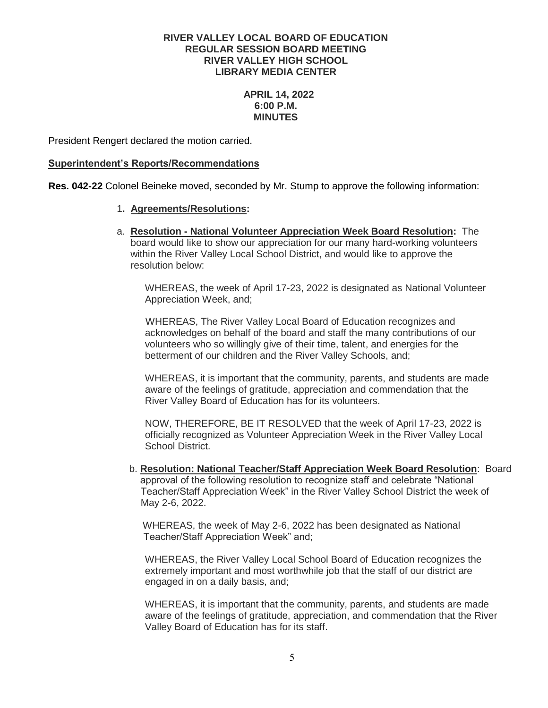# **APRIL 14, 2022 6:00 P.M. MINUTES**

President Rengert declared the motion carried.

### **Superintendent's Reports/Recommendations**

**Res. 042-22** Colonel Beineke moved, seconded by Mr. Stump to approve the following information:

# 1**. Agreements/Resolutions:**

a. **Resolution - National Volunteer Appreciation Week Board Resolution:** The board would like to show our appreciation for our many hard-working volunteers within the River Valley Local School District, and would like to approve the resolution below:

 WHEREAS, the week of April 17-23, 2022 is designated as National Volunteer Appreciation Week, and;

 WHEREAS, The River Valley Local Board of Education recognizes and acknowledges on behalf of the board and staff the many contributions of our volunteers who so willingly give of their time, talent, and energies for the betterment of our children and the River Valley Schools, and;

 WHEREAS, it is important that the community, parents, and students are made aware of the feelings of gratitude, appreciation and commendation that the River Valley Board of Education has for its volunteers.

 NOW, THEREFORE, BE IT RESOLVED that the week of April 17-23, 2022 is officially recognized as Volunteer Appreciation Week in the River Valley Local School District.

 b. **Resolution: National Teacher/Staff Appreciation Week Board Resolution**: Board approval of the following resolution to recognize staff and celebrate "National Teacher/Staff Appreciation Week" in the River Valley School District the week of May 2-6, 2022.

 WHEREAS, the week of May 2-6, 2022 has been designated as National Teacher/Staff Appreciation Week" and;

 WHEREAS, the River Valley Local School Board of Education recognizes the extremely important and most worthwhile job that the staff of our district are engaged in on a daily basis, and;

WHEREAS, it is important that the community, parents, and students are made aware of the feelings of gratitude, appreciation, and commendation that the River Valley Board of Education has for its staff.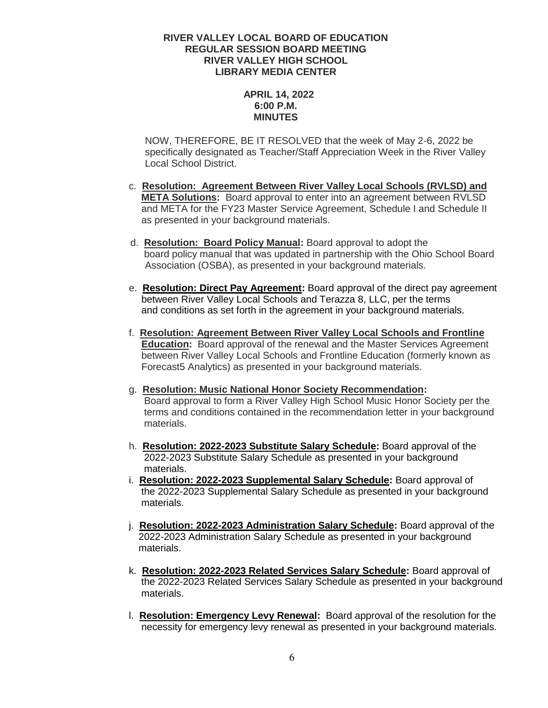# **APRIL 14, 2022 6:00 P.M. MINUTES**

NOW, THEREFORE, BE IT RESOLVED that the week of May 2-6, 2022 be specifically designated as Teacher/Staff Appreciation Week in the River Valley Local School District.

- c. **Resolution: Agreement Between River Valley Local Schools (RVLSD) and META Solutions:** Board approval to enter into an agreement between RVLSD and META for the FY23 Master Service Agreement, Schedule I and Schedule II as presented in your background materials.
- d. **Resolution: Board Policy Manual:** Board approval to adopt the board policy manual that was updated in partnership with the Ohio School Board Association (OSBA), as presented in your background materials.
- e. **Resolution: Direct Pay Agreement:** Board approval of the direct pay agreement between River Valley Local Schools and Terazza 8, LLC, per the terms and conditions as set forth in the agreement in your background materials.
- f. **Resolution: Agreement Between River Valley Local Schools and Frontline Education:** Board approval of the renewal and the Master Services Agreement between River Valley Local Schools and Frontline Education (formerly known as Forecast5 Analytics) as presented in your background materials.
- g. **Resolution: Music National Honor Society Recommendation:** Board approval to form a River Valley High School Music Honor Society per the terms and conditions contained in the recommendation letter in your background materials.
- h. **Resolution: 2022-2023 Substitute Salary Schedule:** Board approval of the 2022-2023 Substitute Salary Schedule as presented in your background materials.
- i. **Resolution: 2022-2023 Supplemental Salary Schedule:** Board approval of the 2022-2023 Supplemental Salary Schedule as presented in your background materials.
- j. **Resolution: 2022-2023 Administration Salary Schedule:** Board approval of the 2022-2023 Administration Salary Schedule as presented in your background materials.
- k. **Resolution: 2022-2023 Related Services Salary Schedule:** Board approval of the 2022-2023 Related Services Salary Schedule as presented in your background materials.
- l. **Resolution: Emergency Levy Renewal:** Board approval of the resolution for the necessity for emergency levy renewal as presented in your background materials.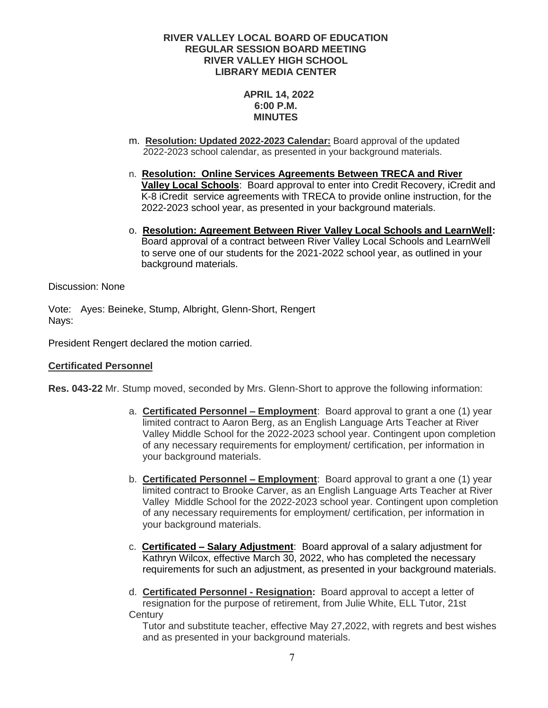# **APRIL 14, 2022 6:00 P.M. MINUTES**

- m. **Resolution: Updated 2022-2023 Calendar:** Board approval of the updated 2022-2023 school calendar, as presented in your background materials.
- n. **Resolution: Online Services Agreements Between TRECA and River Valley Local Schools**: Board approval to enter into Credit Recovery, iCredit and K-8 iCredit service agreements with TRECA to provide online instruction, for the 2022-2023 school year, as presented in your background materials.
- o. **Resolution: Agreement Between River Valley Local Schools and LearnWell:** Board approval of a contract between River Valley Local Schools and LearnWell to serve one of our students for the 2021-2022 school year, as outlined in your background materials.

Discussion: None

Vote: Ayes: Beineke, Stump, Albright, Glenn-Short, Rengert Nays:

President Rengert declared the motion carried.

# **Certificated Personnel**

**Res. 043-22** Mr. Stump moved, seconded by Mrs. Glenn-Short to approve the following information:

- a. **Certificated Personnel – Employment**: Board approval to grant a one (1) year limited contract to Aaron Berg, as an English Language Arts Teacher at River Valley Middle School for the 2022-2023 school year. Contingent upon completion of any necessary requirements for employment/ certification, per information in your background materials.
- b. **Certificated Personnel – Employment**: Board approval to grant a one (1) year limited contract to Brooke Carver, as an English Language Arts Teacher at River Valley Middle School for the 2022-2023 school year. Contingent upon completion of any necessary requirements for employment/ certification, per information in your background materials.
- c. **Certificated – Salary Adjustment**: Board approval of a salary adjustment for Kathryn Wilcox, effective March 30, 2022, who has completed the necessary requirements for such an adjustment, as presented in your background materials.
- d. **Certificated Personnel - Resignation:** Board approval to accept a letter of resignation for the purpose of retirement, from Julie White, ELL Tutor, 21st **Century**

 Tutor and substitute teacher, effective May 27,2022, with regrets and best wishes and as presented in your background materials.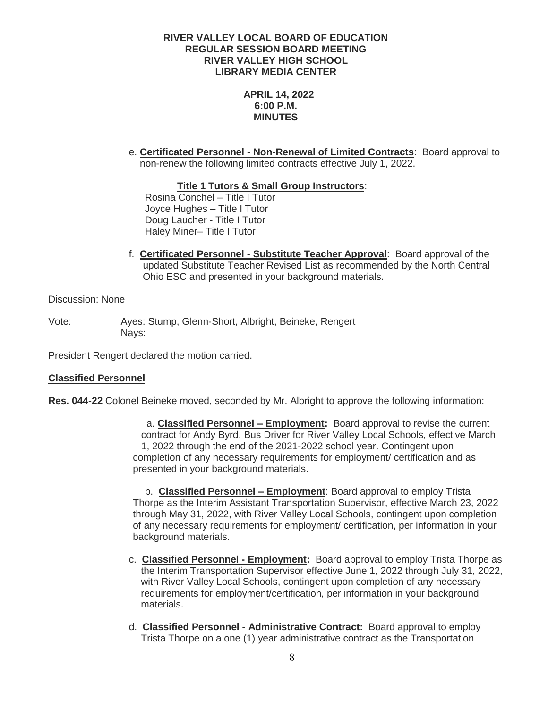**APRIL 14, 2022 6:00 P.M. MINUTES**

e. **Certificated Personnel - Non-Renewal of Limited Contracts**: Board approval to non-renew the following limited contracts effective July 1, 2022.

**Title 1 Tutors & Small Group Instructors**:

Rosina Conchel – Title I Tutor Joyce Hughes – Title I Tutor Doug Laucher - Title I Tutor Haley Miner– Title I Tutor

f. **Certificated Personnel - Substitute Teacher Approval**: Board approval of the updated Substitute Teacher Revised List as recommended by the North Central Ohio ESC and presented in your background materials.

Discussion: None

Vote: Ayes: Stump, Glenn-Short, Albright, Beineke, Rengert Nays:

President Rengert declared the motion carried.

# **Classified Personnel**

**Res. 044-22** Colonel Beineke moved, seconded by Mr. Albright to approve the following information:

 a. **Classified Personnel – Employment:** Board approval to revise the current contract for Andy Byrd, Bus Driver for River Valley Local Schools, effective March 1, 2022 through the end of the 2021-2022 school year. Contingent upon completion of any necessary requirements for employment/ certification and as presented in your background materials.

b. **Classified Personnel – Employment**: Board approval to employ Trista Thorpe as the Interim Assistant Transportation Supervisor, effective March 23, 2022 through May 31, 2022, with River Valley Local Schools, contingent upon completion of any necessary requirements for employment/ certification, per information in your background materials.

- c. **Classified Personnel - Employment:** Board approval to employ Trista Thorpe as the Interim Transportation Supervisor effective June 1, 2022 through July 31, 2022, with River Valley Local Schools, contingent upon completion of any necessary requirements for employment/certification, per information in your background materials.
- d. **Classified Personnel - Administrative Contract:** Board approval to employ Trista Thorpe on a one (1) year administrative contract as the Transportation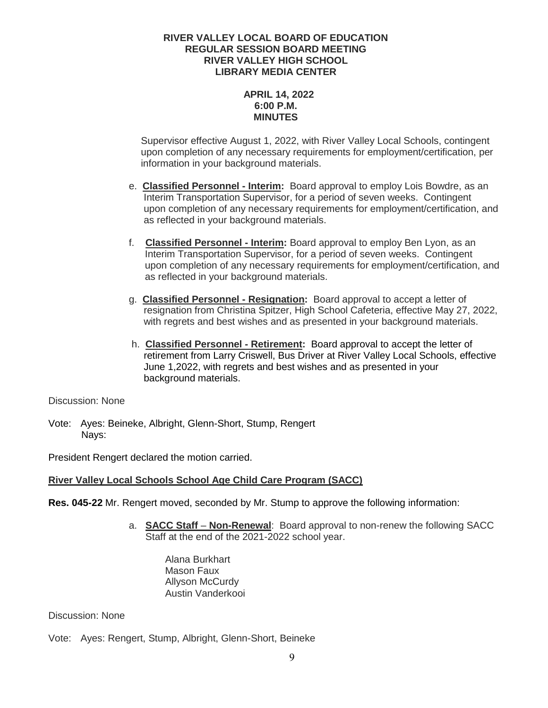# **APRIL 14, 2022 6:00 P.M. MINUTES**

Supervisor effective August 1, 2022, with River Valley Local Schools, contingent upon completion of any necessary requirements for employment/certification, per information in your background materials.

- e. **Classified Personnel - Interim:** Board approval to employ Lois Bowdre, as an Interim Transportation Supervisor, for a period of seven weeks. Contingent upon completion of any necessary requirements for employment/certification, and as reflected in your background materials.
- f. **Classified Personnel - Interim:** Board approval to employ Ben Lyon, as an Interim Transportation Supervisor, for a period of seven weeks. Contingent upon completion of any necessary requirements for employment/certification, and as reflected in your background materials.
- g. **Classified Personnel - Resignation:** Board approval to accept a letter of resignation from Christina Spitzer, High School Cafeteria, effective May 27, 2022, with regrets and best wishes and as presented in your background materials.
- h. **Classified Personnel - Retirement:** Board approval to accept the letter of retirement from Larry Criswell, Bus Driver at River Valley Local Schools, effective June 1,2022, with regrets and best wishes and as presented in your background materials.

Discussion: None

Vote: Ayes: Beineke, Albright, Glenn-Short, Stump, Rengert Nays:

President Rengert declared the motion carried.

# **River Valley Local Schools School Age Child Care Program (SACC)**

**Res. 045-22** Mr. Rengert moved, seconded by Mr. Stump to approve the following information:

a. **SACC Staff** – **Non-Renewal**: Board approval to non-renew the following SACC Staff at the end of the 2021-2022 school year.

Alana Burkhart Mason Faux Allyson McCurdy Austin Vanderkooi

Discussion: None

Vote: Ayes: Rengert, Stump, Albright, Glenn-Short, Beineke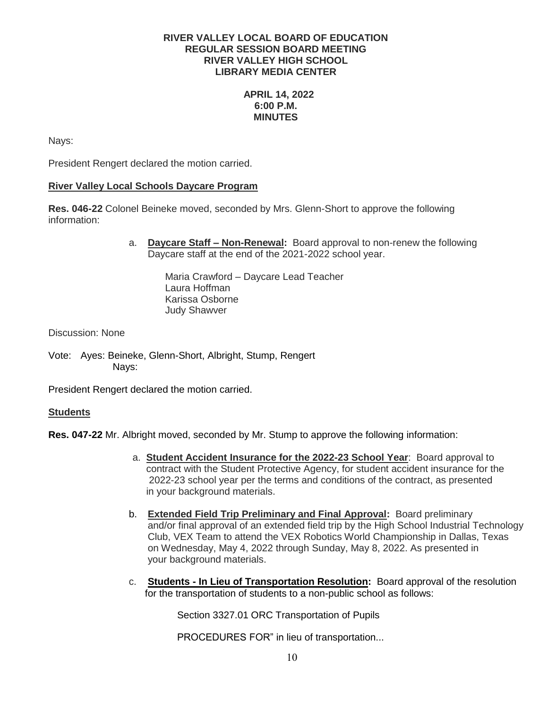# **APRIL 14, 2022 6:00 P.M. MINUTES**

Nays:

President Rengert declared the motion carried.

# **River Valley Local Schools Daycare Program**

**Res. 046-22** Colonel Beineke moved, seconded by Mrs. Glenn-Short to approve the following information:

> a. **Daycare Staff – Non-Renewal:** Board approval to non-renew the following Daycare staff at the end of the 2021-2022 school year.

> > Maria Crawford – Daycare Lead Teacher Laura Hoffman Karissa Osborne Judy Shawver

Discussion: None

Vote: Ayes: Beineke, Glenn-Short, Albright, Stump, Rengert Nays:

President Rengert declared the motion carried.

# **Students**

**Res. 047-22** Mr. Albright moved, seconded by Mr. Stump to approve the following information:

- a. **Student Accident Insurance for the 2022-23 School Year**: Board approval to contract with the Student Protective Agency, for student accident insurance for the 2022-23 school year per the terms and conditions of the contract, as presented in your background materials.
- b. **Extended Field Trip Preliminary and Final Approval:** Board preliminary and/or final approval of an extended field trip by the High School Industrial Technology Club, VEX Team to attend the VEX Robotics World Championship in Dallas, Texas on Wednesday, May 4, 2022 through Sunday, May 8, 2022. As presented in your background materials.
- c. **Students - In Lieu of Transportation Resolution:** Board approval of the resolution for the transportation of students to a non-public school as follows:

Section 3327.01 ORC Transportation of Pupils

PROCEDURES FOR" in lieu of transportation...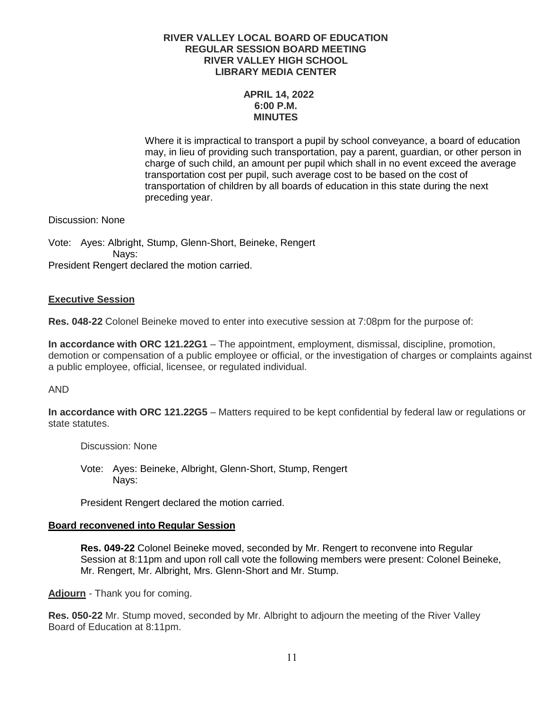# **APRIL 14, 2022 6:00 P.M. MINUTES**

Where it is impractical to transport a pupil by school conveyance, a board of education may, in lieu of providing such transportation, pay a parent, guardian, or other person in charge of such child, an amount per pupil which shall in no event exceed the average transportation cost per pupil, such average cost to be based on the cost of transportation of children by all boards of education in this state during the next preceding year.

Discussion: None

Vote: Ayes: Albright, Stump, Glenn-Short, Beineke, Rengert Nays: President Rengert declared the motion carried.

# **Executive Session**

**Res. 048-22** Colonel Beineke moved to enter into executive session at 7:08pm for the purpose of:

**In accordance with ORC 121.22G1** – The appointment, employment, dismissal, discipline, promotion, demotion or compensation of a public employee or official, or the investigation of charges or complaints against a public employee, official, licensee, or regulated individual.

### AND

**In accordance with ORC 121.22G5** – Matters required to be kept confidential by federal law or regulations or state statutes.

Discussion: None

Vote: Ayes: Beineke, Albright, Glenn-Short, Stump, Rengert Nays:

President Rengert declared the motion carried.

### **Board reconvened into Regular Session**

**Res. 049-22** Colonel Beineke moved, seconded by Mr. Rengert to reconvene into Regular Session at 8:11pm and upon roll call vote the following members were present: Colonel Beineke, Mr. Rengert, Mr. Albright, Mrs. Glenn-Short and Mr. Stump.

**Adjourn** - Thank you for coming.

**Res. 050-22** Mr. Stump moved, seconded by Mr. Albright to adjourn the meeting of the River Valley Board of Education at 8:11pm.